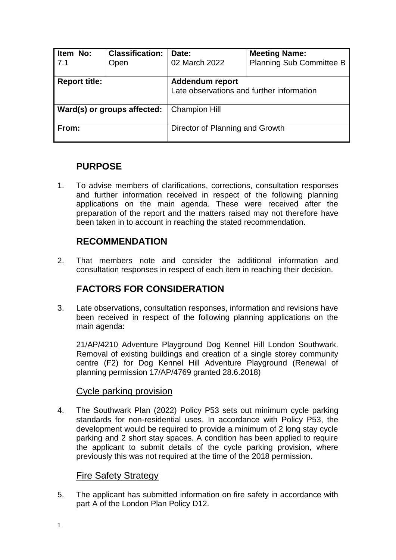| Item No:<br>7.1             | <b>Classification:</b><br>Open | Date:<br>02 March 2022                                              | <b>Meeting Name:</b><br><b>Planning Sub Committee B</b> |
|-----------------------------|--------------------------------|---------------------------------------------------------------------|---------------------------------------------------------|
| <b>Report title:</b>        |                                | <b>Addendum report</b><br>Late observations and further information |                                                         |
| Ward(s) or groups affected: |                                | <b>Champion Hill</b>                                                |                                                         |
| From:                       |                                | Director of Planning and Growth                                     |                                                         |

# **PURPOSE**

1. To advise members of clarifications, corrections, consultation responses and further information received in respect of the following planning applications on the main agenda. These were received after the preparation of the report and the matters raised may not therefore have been taken in to account in reaching the stated recommendation.

## **RECOMMENDATION**

2. That members note and consider the additional information and consultation responses in respect of each item in reaching their decision.

# **FACTORS FOR CONSIDERATION**

3. Late observations, consultation responses, information and revisions have been received in respect of the following planning applications on the main agenda:

21/AP/4210 Adventure Playground Dog Kennel Hill London Southwark. Removal of existing buildings and creation of a single storey community centre (F2) for Dog Kennel Hill Adventure Playground (Renewal of planning permission 17/AP/4769 granted 28.6.2018)

#### Cycle parking provision

4. The Southwark Plan (2022) Policy P53 sets out minimum cycle parking standards for non-residential uses. In accordance with Policy P53, the development would be required to provide a minimum of 2 long stay cycle parking and 2 short stay spaces. A condition has been applied to require the applicant to submit details of the cycle parking provision, where previously this was not required at the time of the 2018 permission.

### Fire Safety Strategy

5. The applicant has submitted information on fire safety in accordance with part A of the London Plan Policy D12.